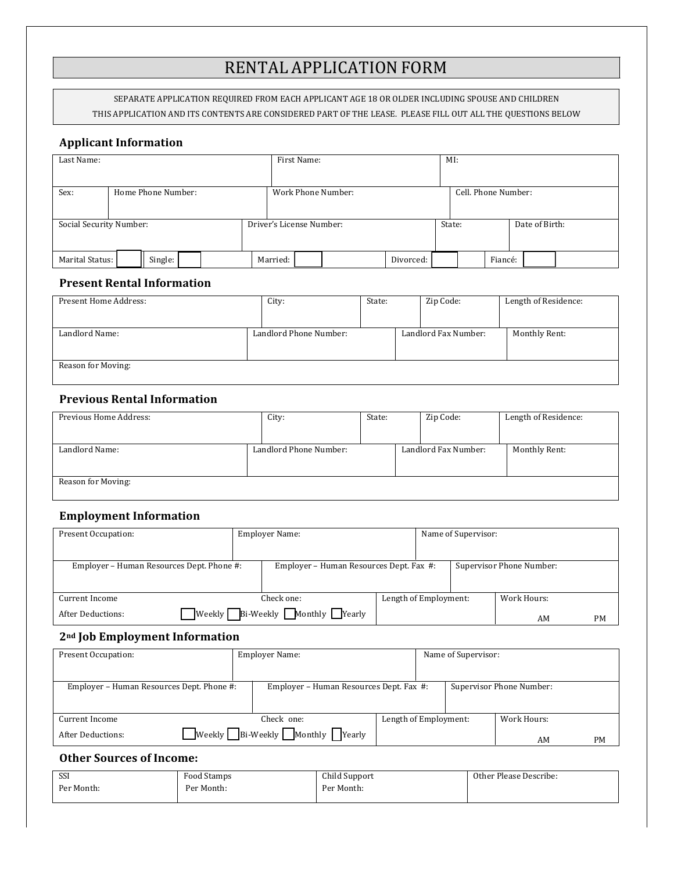# RENTAL APPLICATION FORM

SEPARATE APPLICATION REQUIRED FROM EACH APPLICANT AGE 18 OR OLDER INCLUDING SPOUSE AND CHILDREN THIS APPLICATION AND ITS CONTENTS ARE CONSIDERED PART OF THE LEASE. PLEASE FILL OUT ALL THE QUESTIONS BELOW

## **Applicant Information**

| Last Name:                 |  |         |                          |                    | First Name: |  |           | MI:                 |  |                |  |  |  |  |
|----------------------------|--|---------|--------------------------|--------------------|-------------|--|-----------|---------------------|--|----------------|--|--|--|--|
| Sex:<br>Home Phone Number: |  |         |                          | Work Phone Number: |             |  |           | Cell. Phone Number: |  |                |  |  |  |  |
| Social Security Number:    |  |         | Driver's License Number: |                    |             |  | State:    |                     |  | Date of Birth: |  |  |  |  |
| Marital Status:            |  | Single: |                          | Married:           |             |  | Divorced: |                     |  | Fiancé:        |  |  |  |  |

#### **Present Rental Information**

| Present Home Address: |  | City:                  | State: |                      | Zip Code:     | Length of Residence: |
|-----------------------|--|------------------------|--------|----------------------|---------------|----------------------|
|                       |  |                        |        |                      |               |                      |
| Landlord Name:        |  | Landlord Phone Number: |        | Landlord Fax Number: | Monthly Rent: |                      |
| Reason for Moving:    |  |                        |        |                      |               |                      |

## **Previous Rental Information**

| Previous Home Address: | City:                  | State: | Zip Code:            | Length of Residence: |
|------------------------|------------------------|--------|----------------------|----------------------|
|                        |                        |        |                      |                      |
| Landlord Name:         | Landlord Phone Number: |        | Landlord Fax Number: | Monthly Rent:        |
|                        |                        |        |                      |                      |
| Reason for Moving:     |                        |        |                      |                      |
|                        |                        |        |                      |                      |

# **Employment Information**

| Present Occupation:                       | <b>Employer Name:</b>                   |                                               |                       | Name of Supervisor:      |  |             |           |  |
|-------------------------------------------|-----------------------------------------|-----------------------------------------------|-----------------------|--------------------------|--|-------------|-----------|--|
|                                           |                                         |                                               |                       |                          |  |             |           |  |
| Employer - Human Resources Dept. Phone #: | Employer - Human Resources Dept. Fax #: |                                               |                       | Supervisor Phone Number: |  |             |           |  |
|                                           |                                         |                                               |                       |                          |  |             |           |  |
| Current Income                            |                                         | Check one:                                    | Length of Employment: |                          |  | Work Hours: |           |  |
| Weekly  <br><b>After Deductions:</b>      |                                         | $\Box$ Bi-Weekly $\Box$ Monthly $\Box$ Yearly |                       |                          |  | AM          | <b>PM</b> |  |

# **2nd Job Employment Information**

| Present Occupation:                       | Employer Name:                                              | Name of Supervisor:   |  |                          |           |  |
|-------------------------------------------|-------------------------------------------------------------|-----------------------|--|--------------------------|-----------|--|
|                                           |                                                             |                       |  |                          |           |  |
| Employer - Human Resources Dept. Phone #: | Employer - Human Resources Dept. Fax #:                     |                       |  | Supervisor Phone Number: |           |  |
|                                           |                                                             |                       |  |                          |           |  |
| Current Income                            | Check one:                                                  | Length of Employment: |  | Work Hours:              |           |  |
| After Deductions:                         | $\Box$ Weekly $\Box$ Bi-Weekly $\Box$ Monthly $\Box$ Yearly |                       |  | AM                       | <b>PM</b> |  |

## **Other Sources of Income:**

| SSI        | Food Stamps | Child Support | Other Please Describe: |
|------------|-------------|---------------|------------------------|
| Per Month: | Per Month:  | Per Month:    |                        |